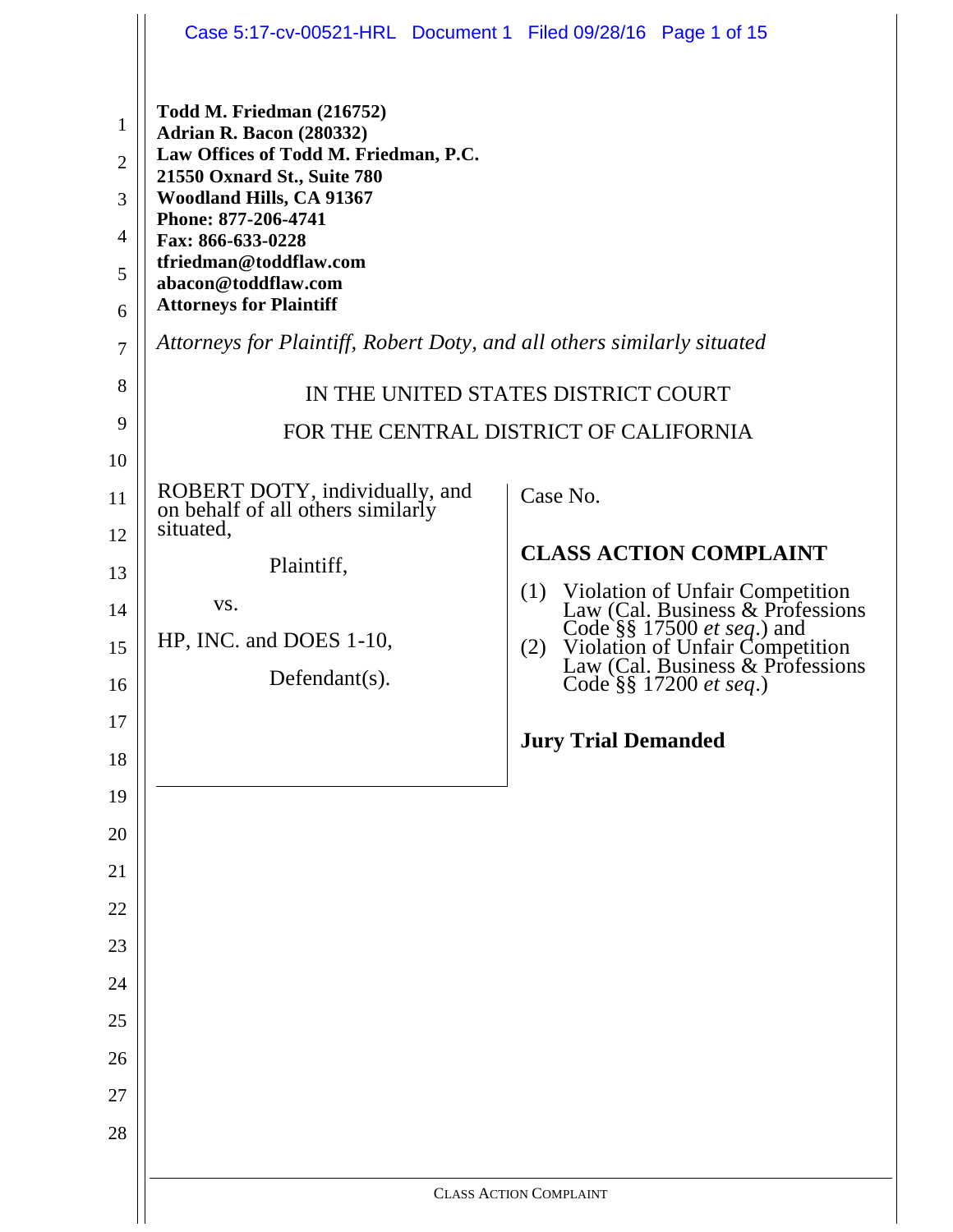|                                                                 | Case 5:17-cv-00521-HRL Document 1 Filed 09/28/16 Page 1 of 15                                                                                                                                                                                                                            |                                                                                                                                                                                                                   |
|-----------------------------------------------------------------|------------------------------------------------------------------------------------------------------------------------------------------------------------------------------------------------------------------------------------------------------------------------------------------|-------------------------------------------------------------------------------------------------------------------------------------------------------------------------------------------------------------------|
| $\mathbf{1}$<br>$\overline{2}$<br>3<br>$\overline{4}$<br>5<br>6 | Todd M. Friedman (216752)<br>Adrian R. Bacon (280332)<br>Law Offices of Todd M. Friedman, P.C.<br>21550 Oxnard St., Suite 780<br>Woodland Hills, CA 91367<br>Phone: 877-206-4741<br>Fax: 866-633-0228<br>tfriedman@toddflaw.com<br>abacon@toddflaw.com<br><b>Attorneys for Plaintiff</b> |                                                                                                                                                                                                                   |
| $\overline{7}$                                                  | Attorneys for Plaintiff, Robert Doty, and all others similarly situated                                                                                                                                                                                                                  |                                                                                                                                                                                                                   |
| 8                                                               |                                                                                                                                                                                                                                                                                          | IN THE UNITED STATES DISTRICT COURT                                                                                                                                                                               |
| 9                                                               |                                                                                                                                                                                                                                                                                          | FOR THE CENTRAL DISTRICT OF CALIFORNIA                                                                                                                                                                            |
| 10                                                              |                                                                                                                                                                                                                                                                                          |                                                                                                                                                                                                                   |
| 11                                                              | ROBERT DOTY, individually, and<br>on behalf of all others similarly<br>situated,                                                                                                                                                                                                         | Case No.                                                                                                                                                                                                          |
| 12<br>13                                                        | Plaintiff,                                                                                                                                                                                                                                                                               | <b>CLASS ACTION COMPLAINT</b>                                                                                                                                                                                     |
| 14                                                              | VS.                                                                                                                                                                                                                                                                                      | (1)                                                                                                                                                                                                               |
| 15                                                              | HP, INC. and DOES 1-10,                                                                                                                                                                                                                                                                  | Violation of Unfair Competition<br>Law (Cal. Business & Professions<br>Code §§ 17500 <i>et seq.</i> ) and<br>Violation of Unfair Competition<br>Law (Cal. Business & Professions<br>Code §§ 17200 et seg.)<br>(2) |
| 16                                                              | Defendant $(s)$ .                                                                                                                                                                                                                                                                        | Code §§ 17200 et seq.)                                                                                                                                                                                            |
| 17                                                              |                                                                                                                                                                                                                                                                                          | <b>Jury Trial Demanded</b>                                                                                                                                                                                        |
| 18                                                              |                                                                                                                                                                                                                                                                                          |                                                                                                                                                                                                                   |
| 19                                                              |                                                                                                                                                                                                                                                                                          |                                                                                                                                                                                                                   |
| 20<br>21                                                        |                                                                                                                                                                                                                                                                                          |                                                                                                                                                                                                                   |
| 22                                                              |                                                                                                                                                                                                                                                                                          |                                                                                                                                                                                                                   |
| 23                                                              |                                                                                                                                                                                                                                                                                          |                                                                                                                                                                                                                   |
| 24                                                              |                                                                                                                                                                                                                                                                                          |                                                                                                                                                                                                                   |
| 25                                                              |                                                                                                                                                                                                                                                                                          |                                                                                                                                                                                                                   |
| 26                                                              |                                                                                                                                                                                                                                                                                          |                                                                                                                                                                                                                   |
| 27                                                              |                                                                                                                                                                                                                                                                                          |                                                                                                                                                                                                                   |
| 28                                                              |                                                                                                                                                                                                                                                                                          |                                                                                                                                                                                                                   |
|                                                                 |                                                                                                                                                                                                                                                                                          | <b>CLASS ACTION COMPLAINT</b>                                                                                                                                                                                     |
|                                                                 |                                                                                                                                                                                                                                                                                          |                                                                                                                                                                                                                   |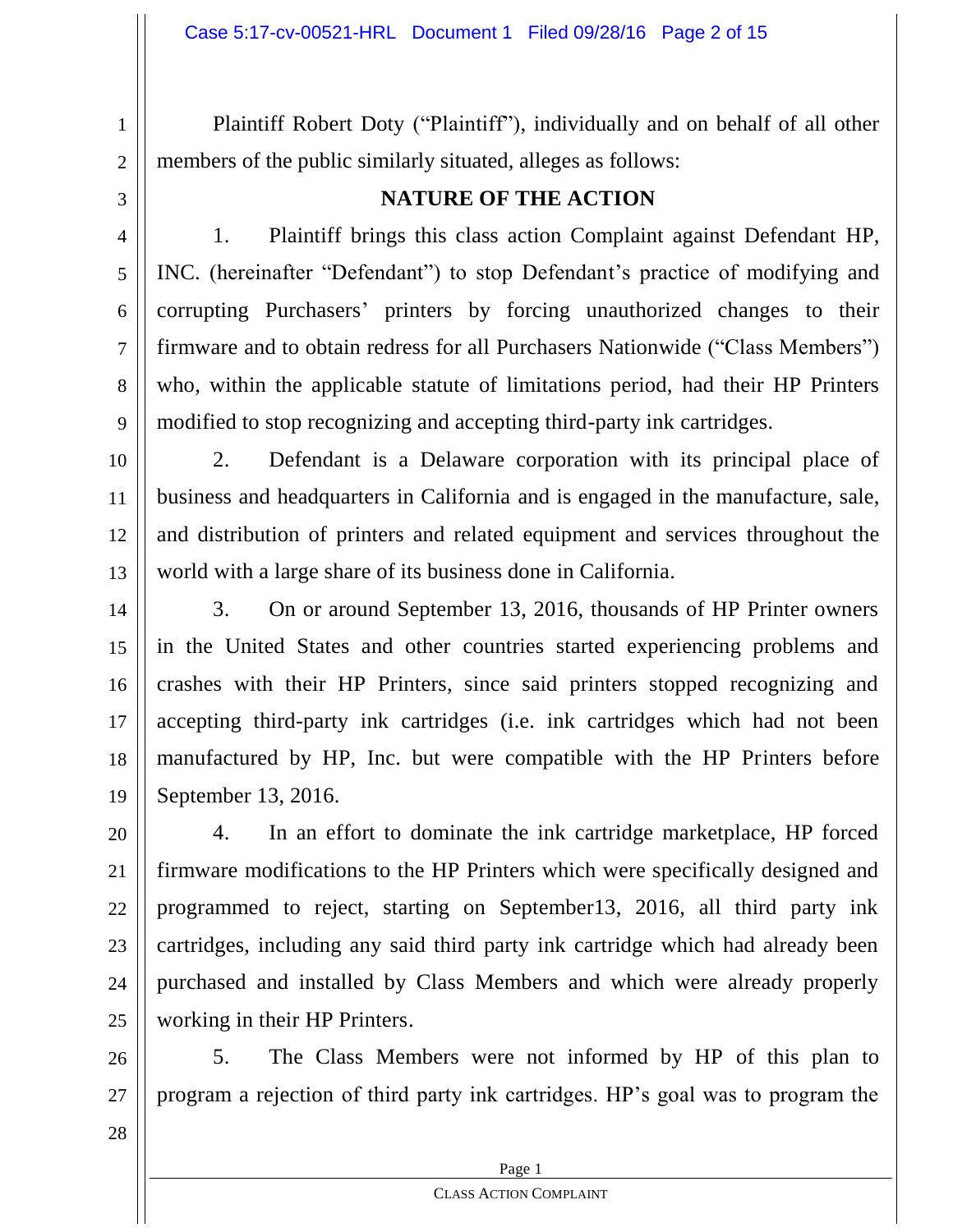Plaintiff Robert Doty ("Plaintiff"), individually and on behalf of all other members of the public similarly situated, alleges as follows:

3

4

5

6

7

8

9

1

2

## **NATURE OF THE ACTION**

1. Plaintiff brings this class action Complaint against Defendant HP, INC. (hereinafter "Defendant") to stop Defendant's practice of modifying and corrupting Purchasers' printers by forcing unauthorized changes to their firmware and to obtain redress for all Purchasers Nationwide ("Class Members") who, within the applicable statute of limitations period, had their HP Printers modified to stop recognizing and accepting third-party ink cartridges.

10 11 12 13 2. Defendant is a Delaware corporation with its principal place of business and headquarters in California and is engaged in the manufacture, sale, and distribution of printers and related equipment and services throughout the world with a large share of its business done in California.

14 15 16 17 18 19 3. On or around September 13, 2016, thousands of HP Printer owners in the United States and other countries started experiencing problems and crashes with their HP Printers, since said printers stopped recognizing and accepting third-party ink cartridges (i.e. ink cartridges which had not been manufactured by HP, Inc. but were compatible with the HP Printers before September 13, 2016.

20 21 22 23 24 25 4. In an effort to dominate the ink cartridge marketplace, HP forced firmware modifications to the HP Printers which were specifically designed and programmed to reject, starting on September13, 2016, all third party ink cartridges, including any said third party ink cartridge which had already been purchased and installed by Class Members and which were already properly working in their HP Printers.

26 27 5. The Class Members were not informed by HP of this plan to program a rejection of third party ink cartridges. HP's goal was to program the

28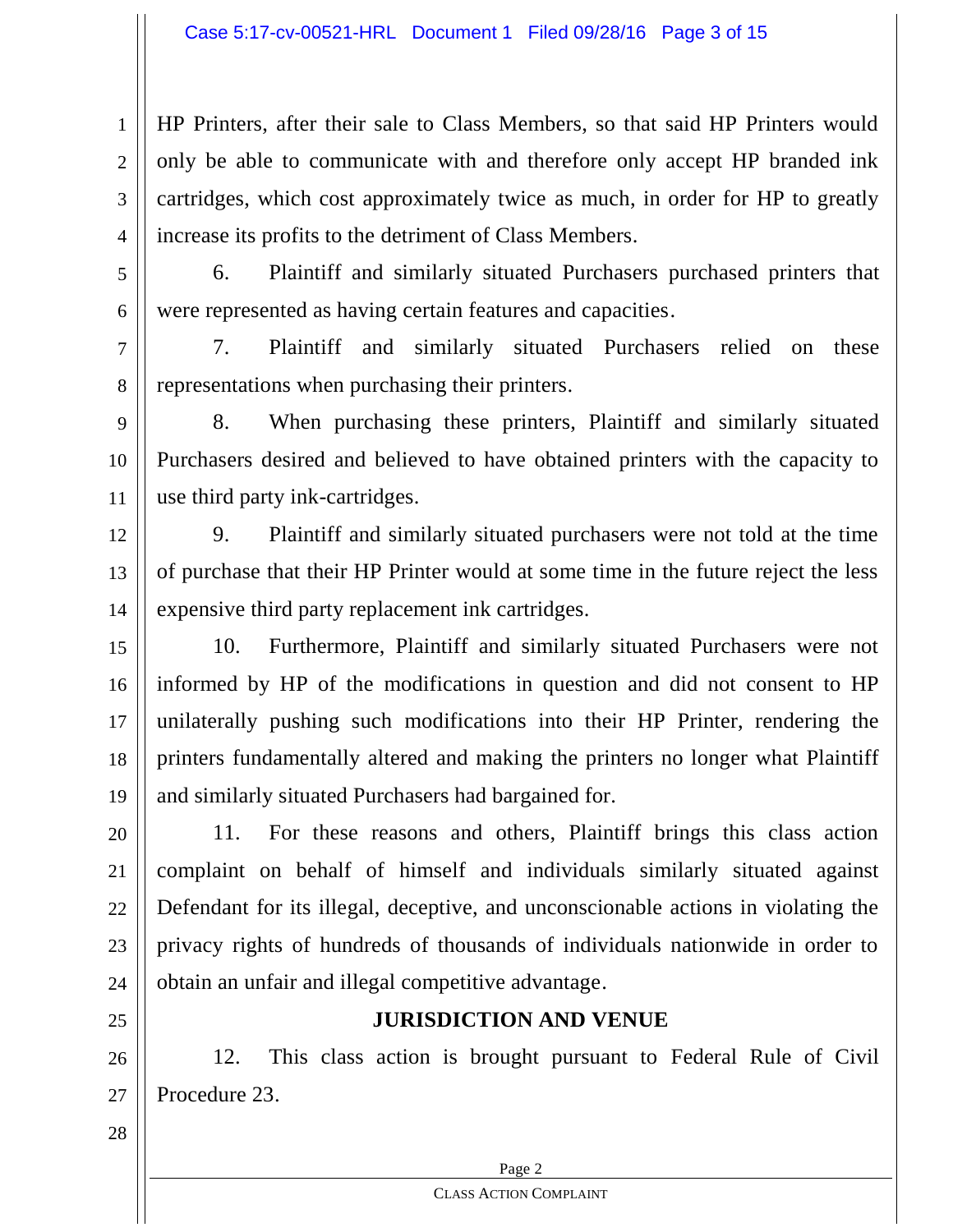HP Printers, after their sale to Class Members, so that said HP Printers would only be able to communicate with and therefore only accept HP branded ink cartridges, which cost approximately twice as much, in order for HP to greatly increase its profits to the detriment of Class Members.

5

6

7

8

1

2

3

4

6. Plaintiff and similarly situated Purchasers purchased printers that were represented as having certain features and capacities.

7. Plaintiff and similarly situated Purchasers relied on these representations when purchasing their printers.

9 10 11 8. When purchasing these printers, Plaintiff and similarly situated Purchasers desired and believed to have obtained printers with the capacity to use third party ink-cartridges.

12 13 14 9. Plaintiff and similarly situated purchasers were not told at the time of purchase that their HP Printer would at some time in the future reject the less expensive third party replacement ink cartridges.

15 16 17 18 19 10. Furthermore, Plaintiff and similarly situated Purchasers were not informed by HP of the modifications in question and did not consent to HP unilaterally pushing such modifications into their HP Printer, rendering the printers fundamentally altered and making the printers no longer what Plaintiff and similarly situated Purchasers had bargained for.

20 21 22 23 24 11. For these reasons and others, Plaintiff brings this class action complaint on behalf of himself and individuals similarly situated against Defendant for its illegal, deceptive, and unconscionable actions in violating the privacy rights of hundreds of thousands of individuals nationwide in order to obtain an unfair and illegal competitive advantage.

25

## **JURISDICTION AND VENUE**

26 27 12. This class action is brought pursuant to Federal Rule of Civil Procedure 23.

28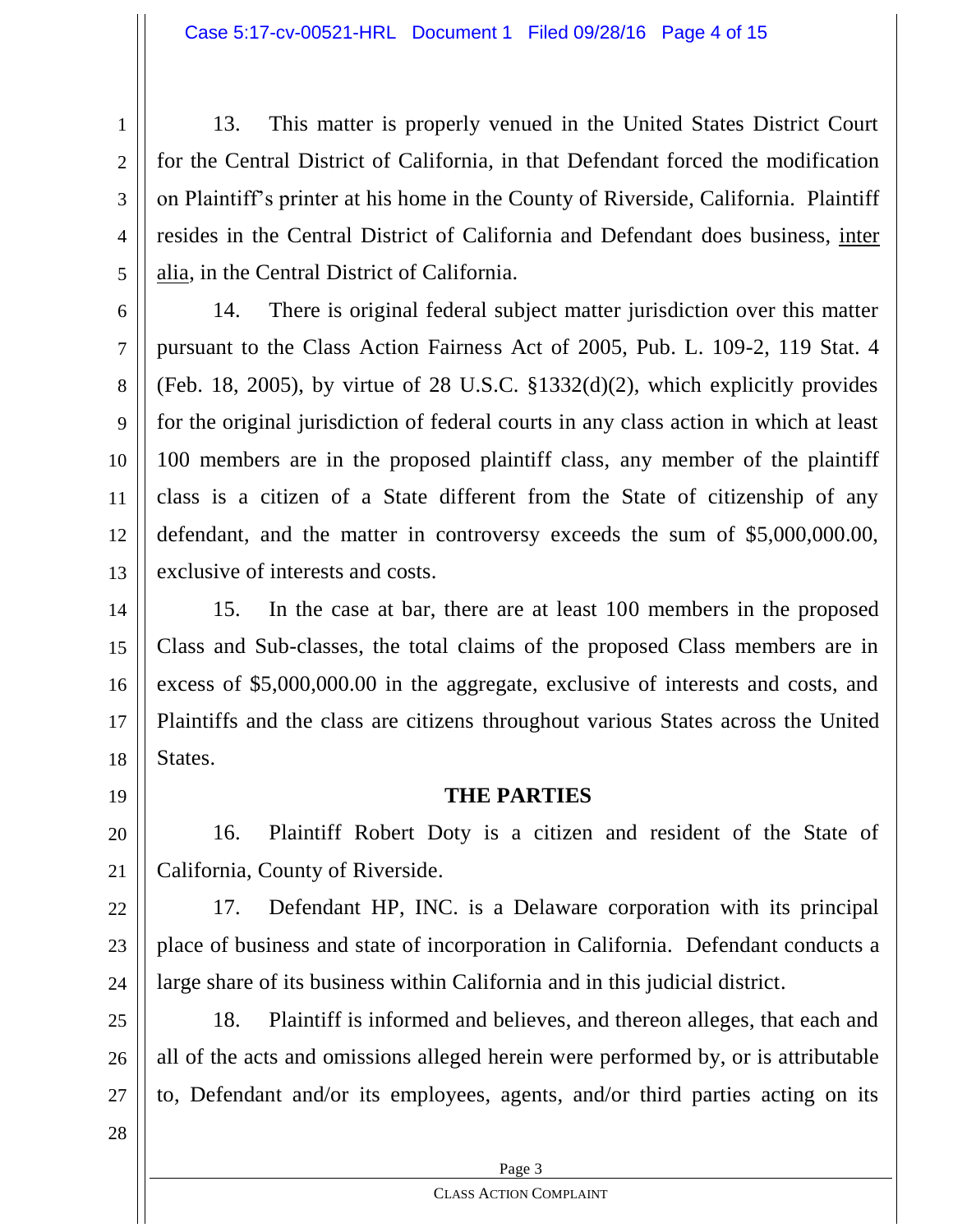1 2 3 4 5 13. This matter is properly venued in the United States District Court for the Central District of California, in that Defendant forced the modification on Plaintiff's printer at his home in the County of Riverside, California. Plaintiff resides in the Central District of California and Defendant does business, inter alia, in the Central District of California.

6 7 8 9 10 11 12 13 14. There is original federal subject matter jurisdiction over this matter pursuant to the Class Action Fairness Act of 2005, Pub. L. 109-2, 119 Stat. 4 (Feb. 18, 2005), by virtue of 28 U.S.C. §1332(d)(2), which explicitly provides for the original jurisdiction of federal courts in any class action in which at least 100 members are in the proposed plaintiff class, any member of the plaintiff class is a citizen of a State different from the State of citizenship of any defendant, and the matter in controversy exceeds the sum of \$5,000,000.00, exclusive of interests and costs.

14 15 16 17 18 15. In the case at bar, there are at least 100 members in the proposed Class and Sub-classes, the total claims of the proposed Class members are in excess of \$5,000,000.00 in the aggregate, exclusive of interests and costs, and Plaintiffs and the class are citizens throughout various States across the United States.

19

20

21

## **THE PARTIES**

16. Plaintiff Robert Doty is a citizen and resident of the State of California, County of Riverside.

22 23 24 17. Defendant HP, INC. is a Delaware corporation with its principal place of business and state of incorporation in California. Defendant conducts a large share of its business within California and in this judicial district.

25 26 27 18. Plaintiff is informed and believes, and thereon alleges, that each and all of the acts and omissions alleged herein were performed by, or is attributable to, Defendant and/or its employees, agents, and/or third parties acting on its

28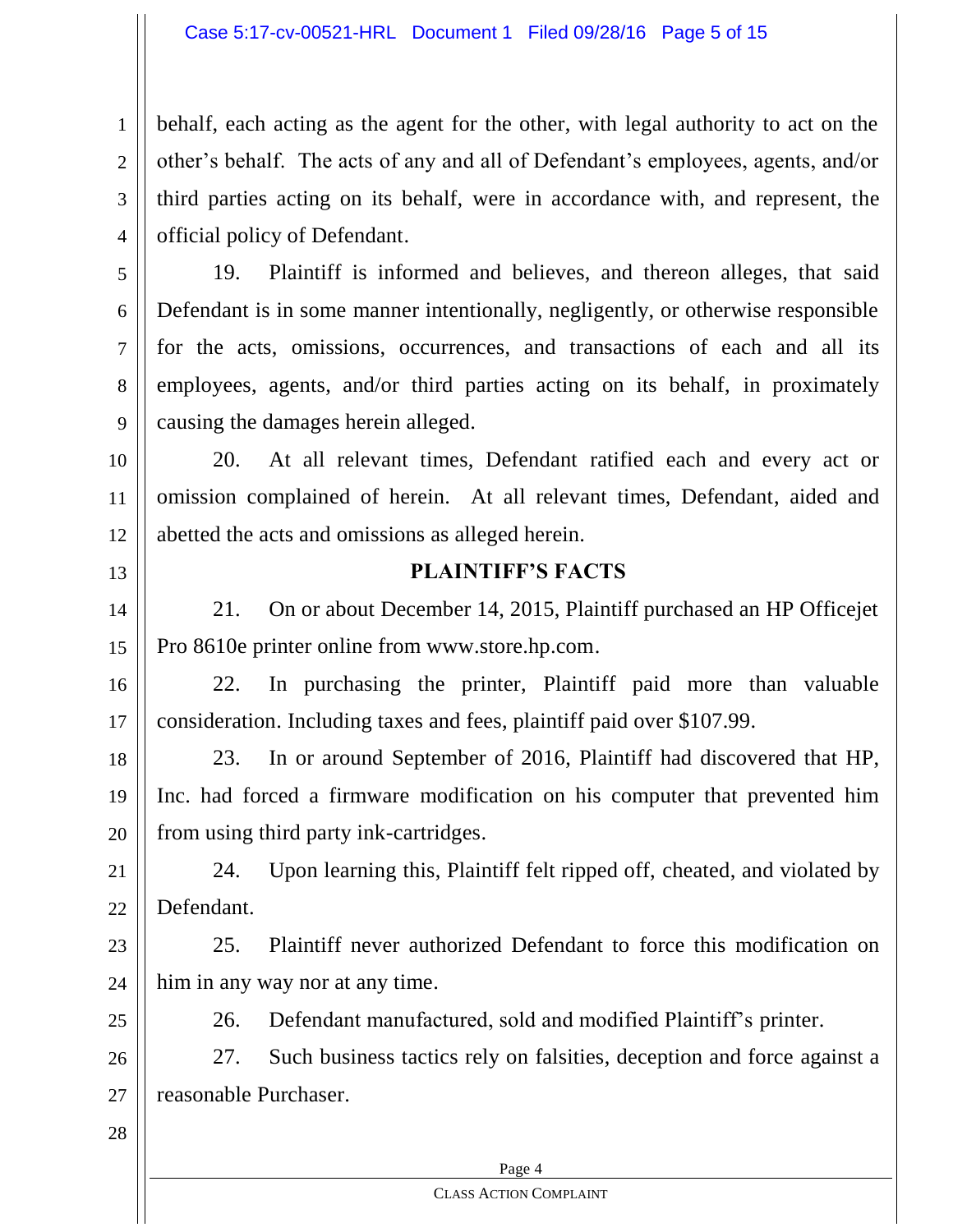#### Case 5:17-cv-00521-HRL Document 1 Filed 09/28/16 Page 5 of 15

4 behalf, each acting as the agent for the other, with legal authority to act on the other's behalf. The acts of any and all of Defendant's employees, agents, and/or third parties acting on its behalf, were in accordance with, and represent, the official policy of Defendant.

19. Plaintiff is informed and believes, and thereon alleges, that said Defendant is in some manner intentionally, negligently, or otherwise responsible for the acts, omissions, occurrences, and transactions of each and all its employees, agents, and/or third parties acting on its behalf, in proximately causing the damages herein alleged.

10 11 12 20. At all relevant times, Defendant ratified each and every act or omission complained of herein. At all relevant times, Defendant, aided and abetted the acts and omissions as alleged herein.

13

1

2

3

5

6

7

8

9

## **PLAINTIFF'S FACTS**

14 15 21. On or about December 14, 2015, Plaintiff purchased an HP Officejet Pro 8610e printer online from www.store.hp.com.

16 17 22. In purchasing the printer, Plaintiff paid more than valuable consideration. Including taxes and fees, plaintiff paid over \$107.99.

18 19 20 23. In or around September of 2016, Plaintiff had discovered that HP, Inc. had forced a firmware modification on his computer that prevented him from using third party ink-cartridges.

21 22 24. Upon learning this, Plaintiff felt ripped off, cheated, and violated by Defendant.

23 24 25. Plaintiff never authorized Defendant to force this modification on him in any way nor at any time.

25

26. Defendant manufactured, sold and modified Plaintiff's printer.

26 27 27. Such business tactics rely on falsities, deception and force against a reasonable Purchaser.

28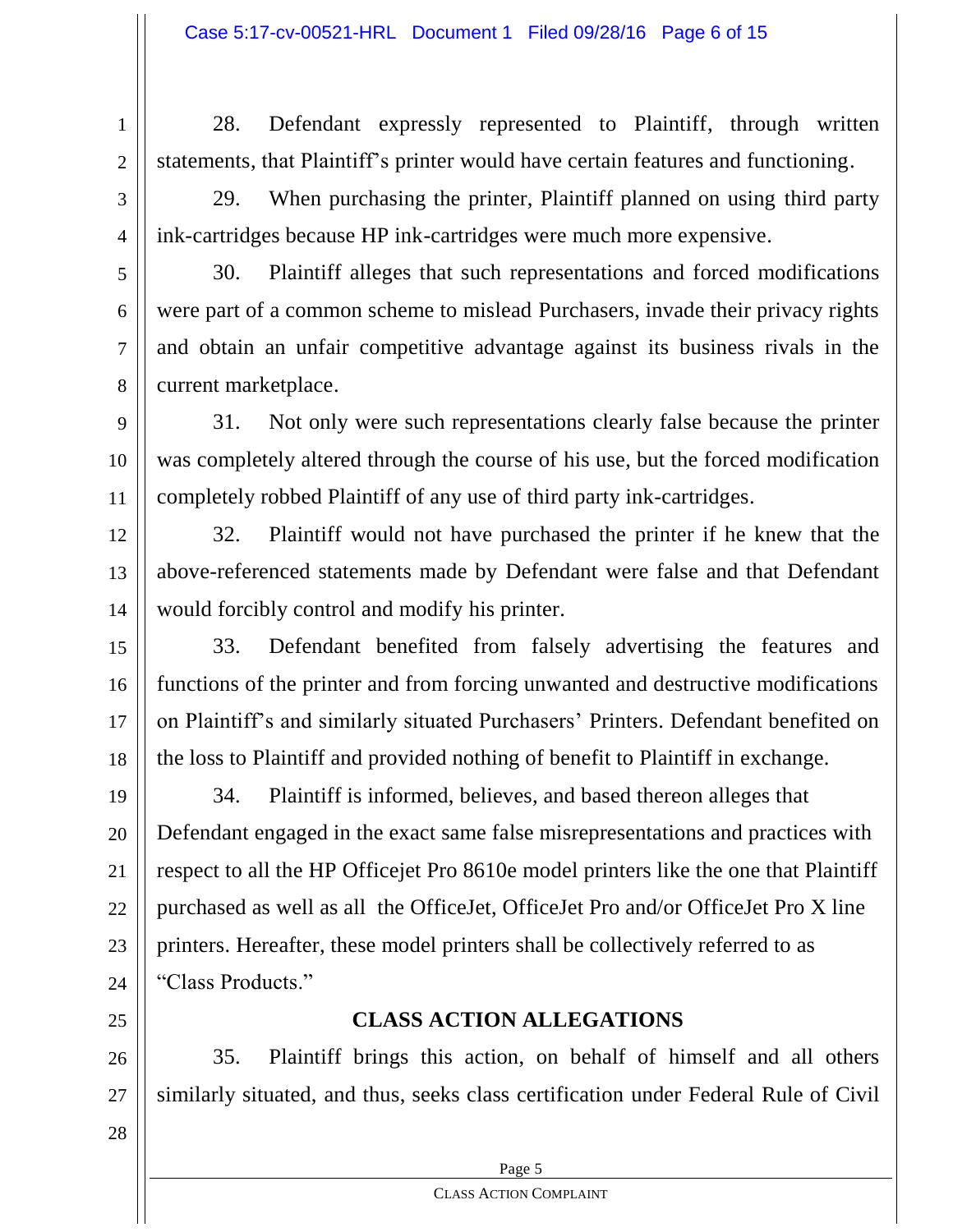1 2 28. Defendant expressly represented to Plaintiff, through written statements, that Plaintiff's printer would have certain features and functioning.

3

4

5

6

7

8

9

10

11

29. When purchasing the printer, Plaintiff planned on using third party ink-cartridges because HP ink-cartridges were much more expensive.

30. Plaintiff alleges that such representations and forced modifications were part of a common scheme to mislead Purchasers, invade their privacy rights and obtain an unfair competitive advantage against its business rivals in the current marketplace.

31. Not only were such representations clearly false because the printer was completely altered through the course of his use, but the forced modification completely robbed Plaintiff of any use of third party ink-cartridges.

12 13 14 32. Plaintiff would not have purchased the printer if he knew that the above-referenced statements made by Defendant were false and that Defendant would forcibly control and modify his printer.

15 16 17 18 33. Defendant benefited from falsely advertising the features and functions of the printer and from forcing unwanted and destructive modifications on Plaintiff's and similarly situated Purchasers' Printers. Defendant benefited on the loss to Plaintiff and provided nothing of benefit to Plaintiff in exchange.

19 20 21 22 23 24 34. Plaintiff is informed, believes, and based thereon alleges that Defendant engaged in the exact same false misrepresentations and practices with respect to all the HP Officejet Pro 8610e model printers like the one that Plaintiff purchased as well as all the OfficeJet, OfficeJet Pro and/or OfficeJet Pro X line printers. Hereafter, these model printers shall be collectively referred to as "Class Products."

25

## **CLASS ACTION ALLEGATIONS**

26 27 35. Plaintiff brings this action, on behalf of himself and all others similarly situated, and thus, seeks class certification under Federal Rule of Civil

28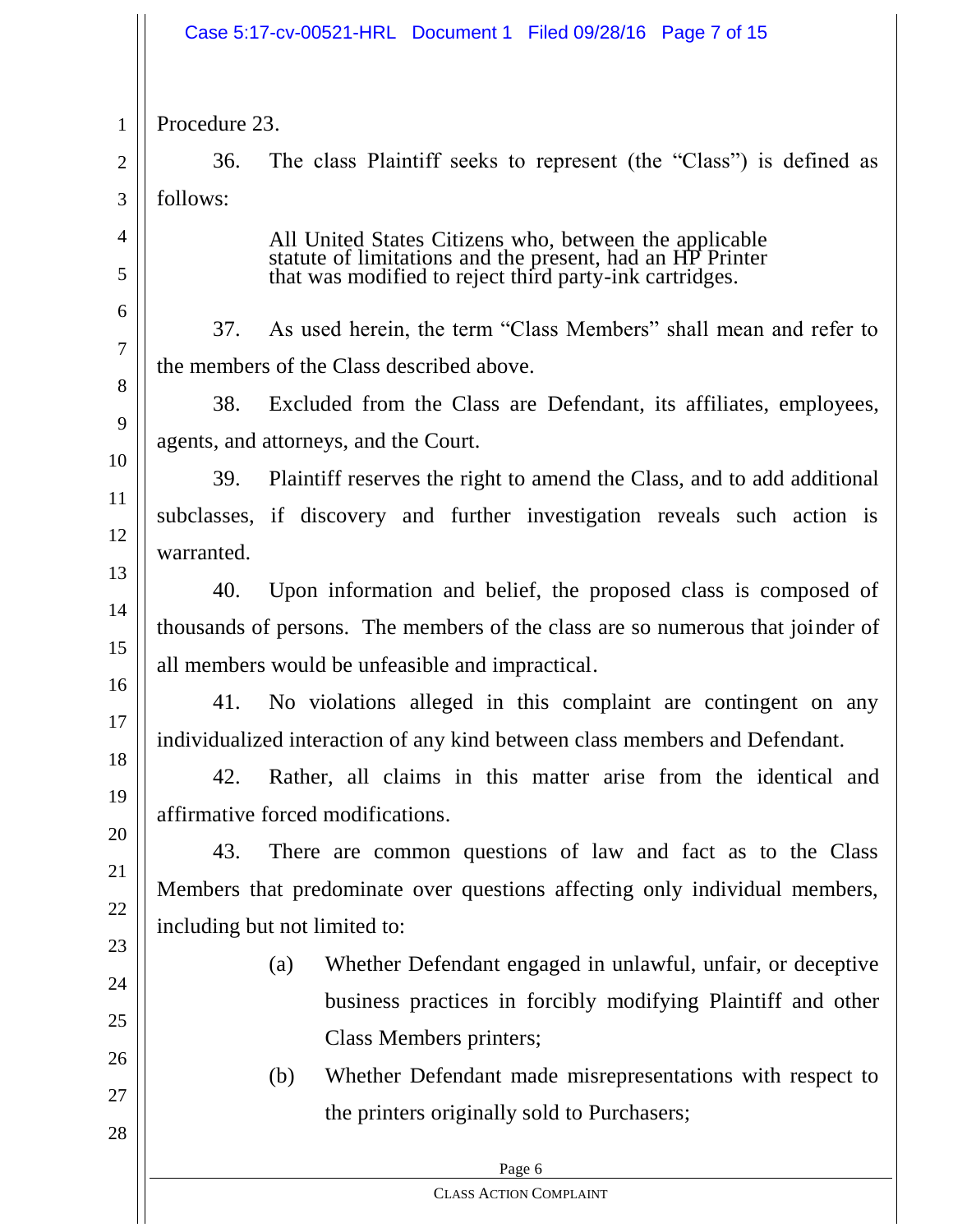|                | Case 5:17-cv-00521-HRL Document 1 Filed 09/28/16 Page 7 of 15                                                       |  |  |
|----------------|---------------------------------------------------------------------------------------------------------------------|--|--|
| $\mathbf{1}$   | Procedure 23.                                                                                                       |  |  |
| $\overline{2}$ | The class Plaintiff seeks to represent (the "Class") is defined as<br>36.                                           |  |  |
| 3              | follows:                                                                                                            |  |  |
| $\overline{4}$ | All United States Citizens who, between the applicable<br>statute of limitations and the present, had an HP Printer |  |  |
| 5              | that was modified to reject third party-ink cartridges.                                                             |  |  |
| 6<br>$\tau$    | As used herein, the term "Class Members" shall mean and refer to<br>37.                                             |  |  |
| 8              | the members of the Class described above.                                                                           |  |  |
| 9              | 38.<br>Excluded from the Class are Defendant, its affiliates, employees,                                            |  |  |
| 10             | agents, and attorneys, and the Court.                                                                               |  |  |
| 11             | Plaintiff reserves the right to amend the Class, and to add additional<br>39.                                       |  |  |
| 12             | subclasses, if discovery and further investigation reveals such action is                                           |  |  |
| 13             | warranted.                                                                                                          |  |  |
| 14             | 40.<br>Upon information and belief, the proposed class is composed of                                               |  |  |
| 15             | thousands of persons. The members of the class are so numerous that joinder of                                      |  |  |
| 16             | all members would be unfeasible and impractical.                                                                    |  |  |
| 17             | No violations alleged in this complaint are contingent on any<br>41.                                                |  |  |
| 18             | individualized interaction of any kind between class members and Defendant.                                         |  |  |
| 19             | 42.<br>Rather, all claims in this matter arise from the identical and                                               |  |  |
| 20             | affirmative forced modifications.                                                                                   |  |  |
| 21             | 43.<br>There are common questions of law and fact as to the Class                                                   |  |  |
| 22             | Members that predominate over questions affecting only individual members,<br>including but not limited to:         |  |  |
| 23             |                                                                                                                     |  |  |
| 24             | Whether Defendant engaged in unlawful, unfair, or deceptive<br>(a)                                                  |  |  |
| 25             | business practices in forcibly modifying Plaintiff and other                                                        |  |  |
| 26             | Class Members printers;                                                                                             |  |  |
| 27             | Whether Defendant made misrepresentations with respect to<br>(b)                                                    |  |  |
| 28             | the printers originally sold to Purchasers;                                                                         |  |  |
|                | Page 6                                                                                                              |  |  |
|                | <b>CLASS ACTION COMPLAINT</b>                                                                                       |  |  |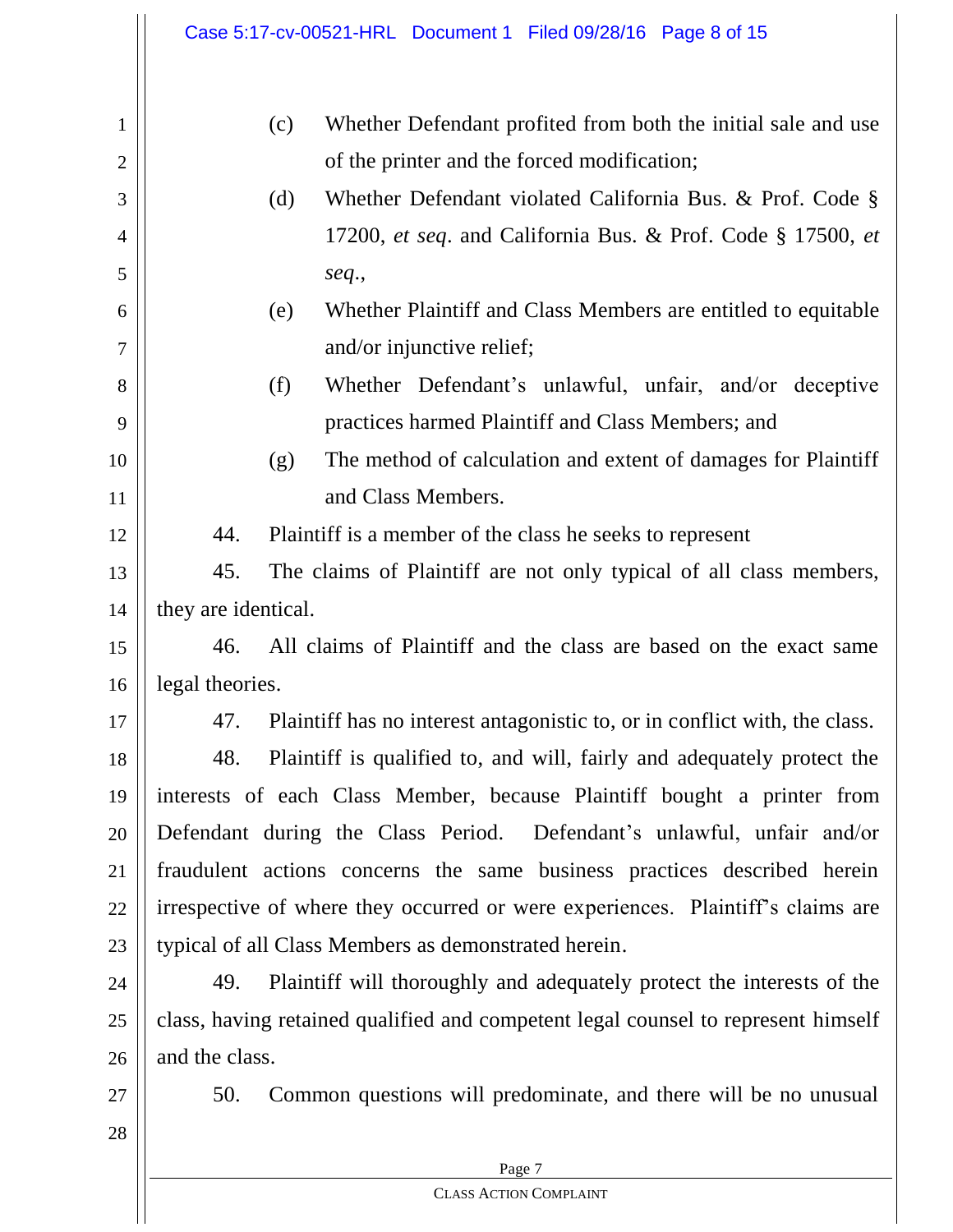|    | Case 5:17-cv-00521-HRL Document 1 Filed 09/28/16 Page 8 of 15                     |  |  |
|----|-----------------------------------------------------------------------------------|--|--|
| 1  | Whether Defendant profited from both the initial sale and use<br>(c)              |  |  |
| 2  | of the printer and the forced modification;                                       |  |  |
| 3  | Whether Defendant violated California Bus. & Prof. Code §<br>(d)                  |  |  |
| 4  | 17200, et seq. and California Bus. & Prof. Code § 17500, et                       |  |  |
| 5  | seq.,                                                                             |  |  |
| 6  | Whether Plaintiff and Class Members are entitled to equitable<br>(e)              |  |  |
| 7  | and/or injunctive relief;                                                         |  |  |
| 8  | Whether Defendant's unlawful, unfair, and/or deceptive<br>(f)                     |  |  |
| 9  | practices harmed Plaintiff and Class Members; and                                 |  |  |
| 10 | The method of calculation and extent of damages for Plaintiff<br>(g)              |  |  |
| 11 | and Class Members.                                                                |  |  |
| 12 | 44.<br>Plaintiff is a member of the class he seeks to represent                   |  |  |
| 13 | 45.<br>The claims of Plaintiff are not only typical of all class members,         |  |  |
| 14 | they are identical.                                                               |  |  |
| 15 | All claims of Plaintiff and the class are based on the exact same<br>46.          |  |  |
| 16 | legal theories.                                                                   |  |  |
| 17 | Plaintiff has no interest antagonistic to, or in conflict with, the class.<br>47. |  |  |
| 18 | Plaintiff is qualified to, and will, fairly and adequately protect the<br>48.     |  |  |
| 19 | interests of each Class Member, because Plaintiff bought a printer from           |  |  |
| 20 | Defendant during the Class Period. Defendant's unlawful, unfair and/or            |  |  |
| 21 | fraudulent actions concerns the same business practices described herein          |  |  |
| 22 | irrespective of where they occurred or were experiences. Plaintiff's claims are   |  |  |
| 23 | typical of all Class Members as demonstrated herein.                              |  |  |
| 24 | Plaintiff will thoroughly and adequately protect the interests of the<br>49.      |  |  |
| 25 | class, having retained qualified and competent legal counsel to represent himself |  |  |
| 26 | and the class.                                                                    |  |  |
| 27 | Common questions will predominate, and there will be no unusual<br>50.            |  |  |
| 28 |                                                                                   |  |  |
|    | Page 7                                                                            |  |  |
|    | <b>CLASS ACTION COMPLAINT</b>                                                     |  |  |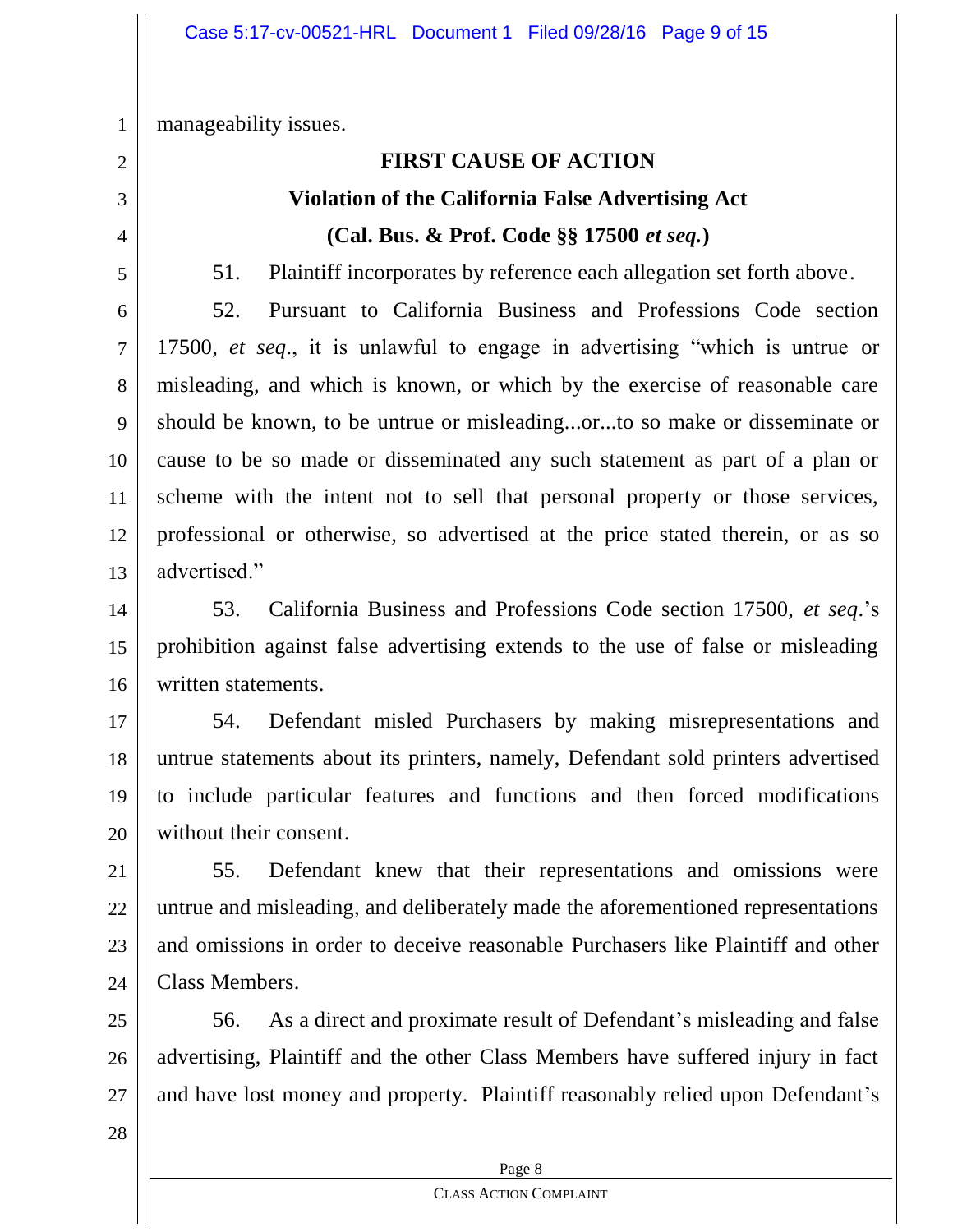manageability issues.

1

2

3

4

5

# **FIRST CAUSE OF ACTION Violation of the California False Advertising Act (Cal. Bus. & Prof. Code §§ 17500** *et seq.***)**

51. Plaintiff incorporates by reference each allegation set forth above.

6 7 8 9 10 11 12 13 52. Pursuant to California Business and Professions Code section 17500, *et seq*., it is unlawful to engage in advertising "which is untrue or misleading, and which is known, or which by the exercise of reasonable care should be known, to be untrue or misleading...or...to so make or disseminate or cause to be so made or disseminated any such statement as part of a plan or scheme with the intent not to sell that personal property or those services, professional or otherwise, so advertised at the price stated therein, or as so advertised."

14 15 16 53. California Business and Professions Code section 17500, *et seq*.'s prohibition against false advertising extends to the use of false or misleading written statements.

17 18 19 20 54. Defendant misled Purchasers by making misrepresentations and untrue statements about its printers, namely, Defendant sold printers advertised to include particular features and functions and then forced modifications without their consent.

21 22 23 24 55. Defendant knew that their representations and omissions were untrue and misleading, and deliberately made the aforementioned representations and omissions in order to deceive reasonable Purchasers like Plaintiff and other Class Members.

25 26 27 56. As a direct and proximate result of Defendant's misleading and false advertising, Plaintiff and the other Class Members have suffered injury in fact and have lost money and property. Plaintiff reasonably relied upon Defendant's

28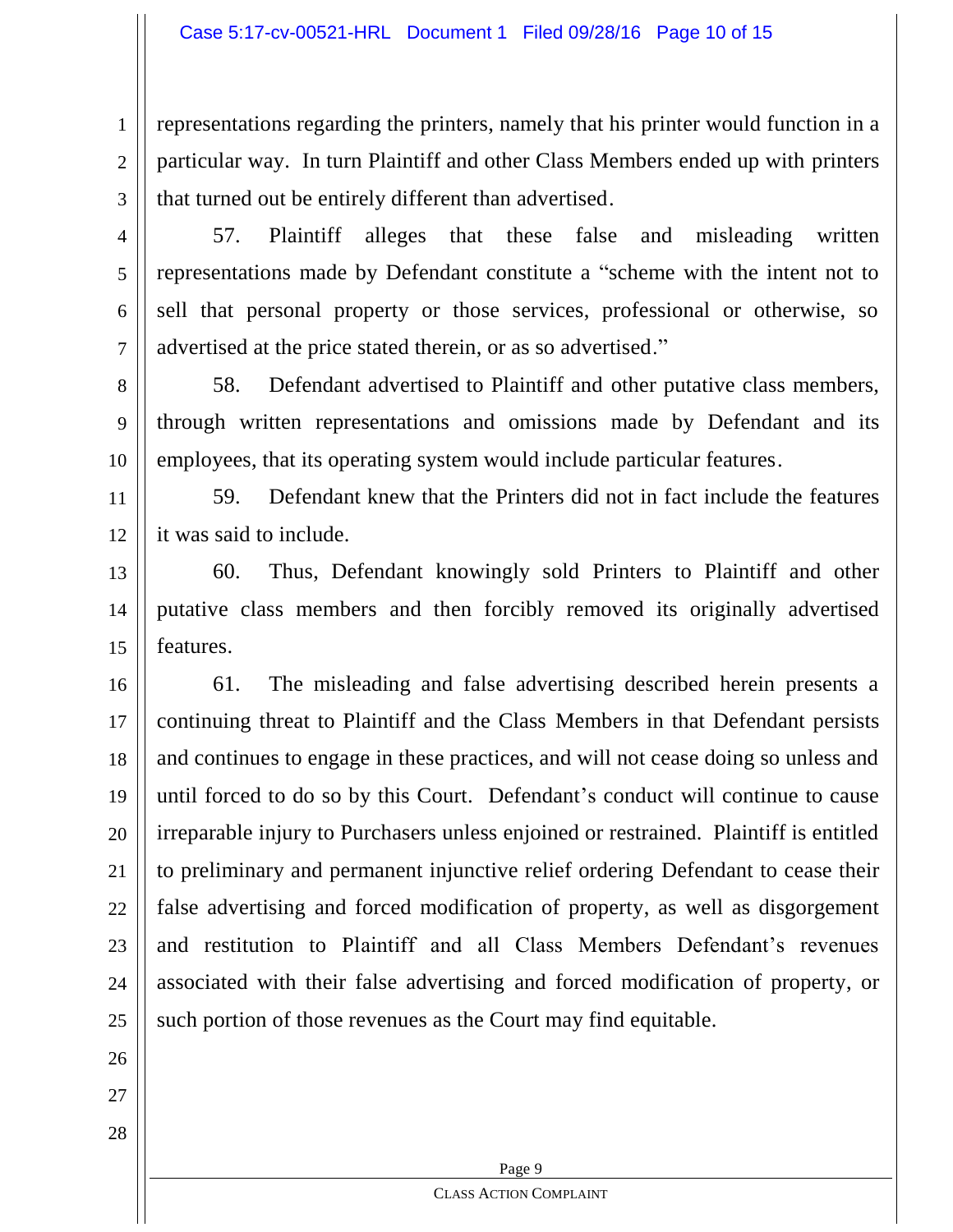1 2 representations regarding the printers, namely that his printer would function in a particular way. In turn Plaintiff and other Class Members ended up with printers that turned out be entirely different than advertised.

3 4

5

6

7

57. Plaintiff alleges that these false and misleading written representations made by Defendant constitute a "scheme with the intent not to sell that personal property or those services, professional or otherwise, so advertised at the price stated therein, or as so advertised."

8 9 10 58. Defendant advertised to Plaintiff and other putative class members, through written representations and omissions made by Defendant and its employees, that its operating system would include particular features.

11 12 59. Defendant knew that the Printers did not in fact include the features it was said to include.

13 14 15 60. Thus, Defendant knowingly sold Printers to Plaintiff and other putative class members and then forcibly removed its originally advertised features.

16 17 18 19 20 21 22 23 24 25 61. The misleading and false advertising described herein presents a continuing threat to Plaintiff and the Class Members in that Defendant persists and continues to engage in these practices, and will not cease doing so unless and until forced to do so by this Court. Defendant's conduct will continue to cause irreparable injury to Purchasers unless enjoined or restrained. Plaintiff is entitled to preliminary and permanent injunctive relief ordering Defendant to cease their false advertising and forced modification of property, as well as disgorgement and restitution to Plaintiff and all Class Members Defendant's revenues associated with their false advertising and forced modification of property, or such portion of those revenues as the Court may find equitable.

26

27

28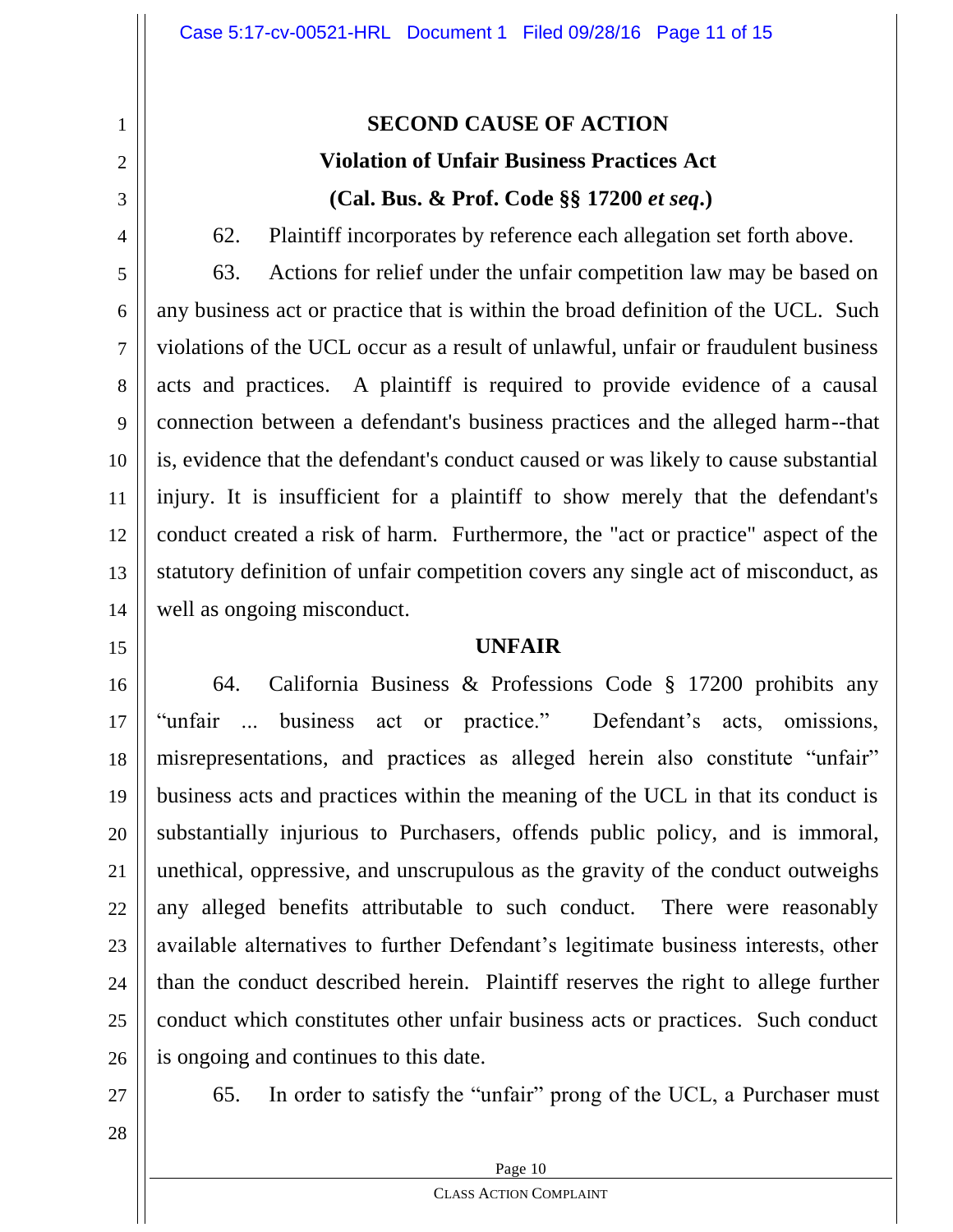# **SECOND CAUSE OF ACTION Violation of Unfair Business Practices Act (Cal. Bus. & Prof. Code §§ 17200** *et seq***.)**

62. Plaintiff incorporates by reference each allegation set forth above.

5 6 7 8 9 10 11 12 13 14 63. Actions for relief under the unfair competition law may be based on any business act or practice that is within the broad definition of the UCL. Such violations of the UCL occur as a result of unlawful, unfair or fraudulent business acts and practices. A plaintiff is required to provide evidence of a causal connection between a defendant's business practices and the alleged harm--that is, evidence that the defendant's conduct caused or was likely to cause substantial injury. It is insufficient for a plaintiff to show merely that the defendant's conduct created a risk of harm. Furthermore, the "act or practice" aspect of the statutory definition of unfair competition covers any single act of misconduct, as well as ongoing misconduct.

## **UNFAIR**

16 17 18 19 20 21 22 23 24 25 26 64. California Business & Professions Code § 17200 prohibits any "unfair ... business act or practice." Defendant's acts, omissions, misrepresentations, and practices as alleged herein also constitute "unfair" business acts and practices within the meaning of the UCL in that its conduct is substantially injurious to Purchasers, offends public policy, and is immoral, unethical, oppressive, and unscrupulous as the gravity of the conduct outweighs any alleged benefits attributable to such conduct. There were reasonably available alternatives to further Defendant's legitimate business interests, other than the conduct described herein. Plaintiff reserves the right to allege further conduct which constitutes other unfair business acts or practices. Such conduct is ongoing and continues to this date.

27

1

2

3

4

15

65. In order to satisfy the "unfair" prong of the UCL, a Purchaser must

28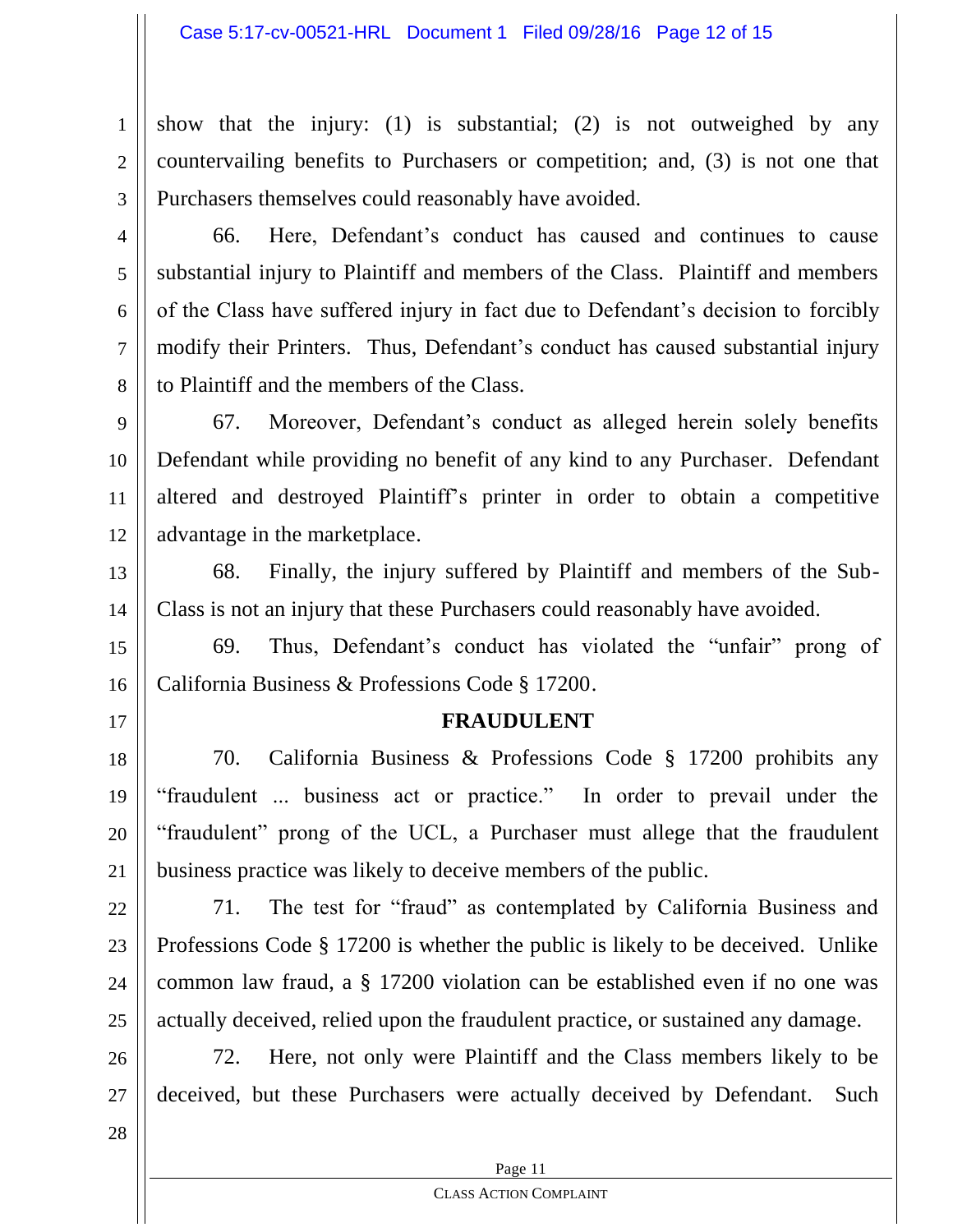show that the injury: (1) is substantial; (2) is not outweighed by any countervailing benefits to Purchasers or competition; and, (3) is not one that Purchasers themselves could reasonably have avoided.

66. Here, Defendant's conduct has caused and continues to cause substantial injury to Plaintiff and members of the Class. Plaintiff and members of the Class have suffered injury in fact due to Defendant's decision to forcibly modify their Printers. Thus, Defendant's conduct has caused substantial injury to Plaintiff and the members of the Class.

9 10 11 12 67. Moreover, Defendant's conduct as alleged herein solely benefits Defendant while providing no benefit of any kind to any Purchaser. Defendant altered and destroyed Plaintiff's printer in order to obtain a competitive advantage in the marketplace.

13 14 68. Finally, the injury suffered by Plaintiff and members of the Sub-Class is not an injury that these Purchasers could reasonably have avoided.

15 16 69. Thus, Defendant's conduct has violated the "unfair" prong of California Business & Professions Code § 17200.

## **FRAUDULENT**

18 20 70. California Business & Professions Code § 17200 prohibits any "fraudulent ... business act or practice." In order to prevail under the "fraudulent" prong of the UCL, a Purchaser must allege that the fraudulent business practice was likely to deceive members of the public.

22 23 24 25 71. The test for "fraud" as contemplated by California Business and Professions Code § 17200 is whether the public is likely to be deceived. Unlike common law fraud, a § 17200 violation can be established even if no one was actually deceived, relied upon the fraudulent practice, or sustained any damage.

26 27 72. Here, not only were Plaintiff and the Class members likely to be deceived, but these Purchasers were actually deceived by Defendant. Such

28

1

2

3

4

5

6

7

8

17

19

21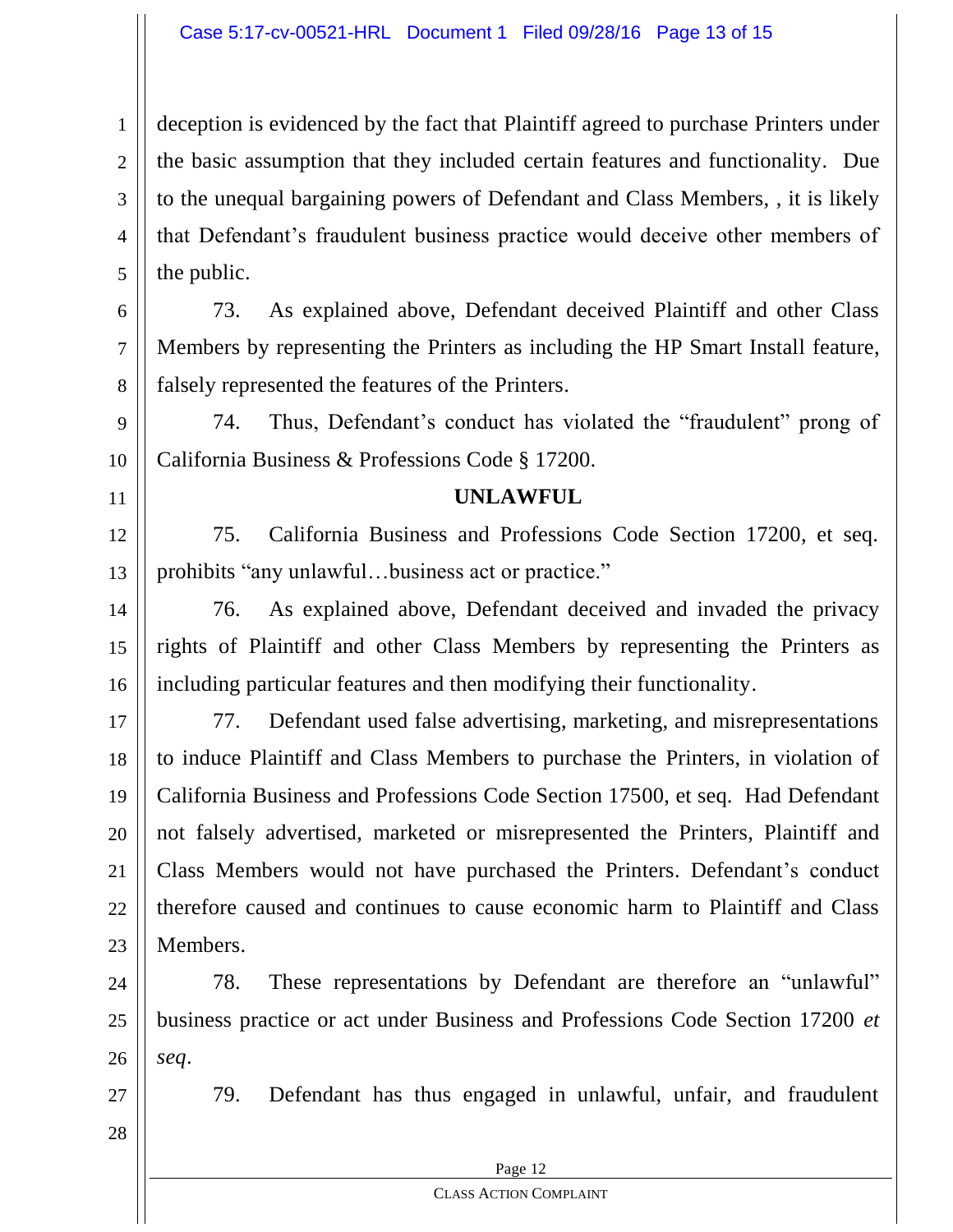1 2 3 4 5 deception is evidenced by the fact that Plaintiff agreed to purchase Printers under the basic assumption that they included certain features and functionality. Due to the unequal bargaining powers of Defendant and Class Members, , it is likely that Defendant's fraudulent business practice would deceive other members of the public.

6 8 73. As explained above, Defendant deceived Plaintiff and other Class Members by representing the Printers as including the HP Smart Install feature, falsely represented the features of the Printers.

74. Thus, Defendant's conduct has violated the "fraudulent" prong of California Business & Professions Code § 17200.

### **UNLAWFUL**

12 13 75. California Business and Professions Code Section 17200, et seq. prohibits "any unlawful…business act or practice."

14 15 16 76. As explained above, Defendant deceived and invaded the privacy rights of Plaintiff and other Class Members by representing the Printers as including particular features and then modifying their functionality.

17 18 19 20 21 22 23 77. Defendant used false advertising, marketing, and misrepresentations to induce Plaintiff and Class Members to purchase the Printers, in violation of California Business and Professions Code Section 17500, et seq. Had Defendant not falsely advertised, marketed or misrepresented the Printers, Plaintiff and Class Members would not have purchased the Printers. Defendant's conduct therefore caused and continues to cause economic harm to Plaintiff and Class Members.

24 25 26 78. These representations by Defendant are therefore an "unlawful" business practice or act under Business and Professions Code Section 17200 *et seq*.

28

27

7

9

10

11

79. Defendant has thus engaged in unlawful, unfair, and fraudulent

Page 12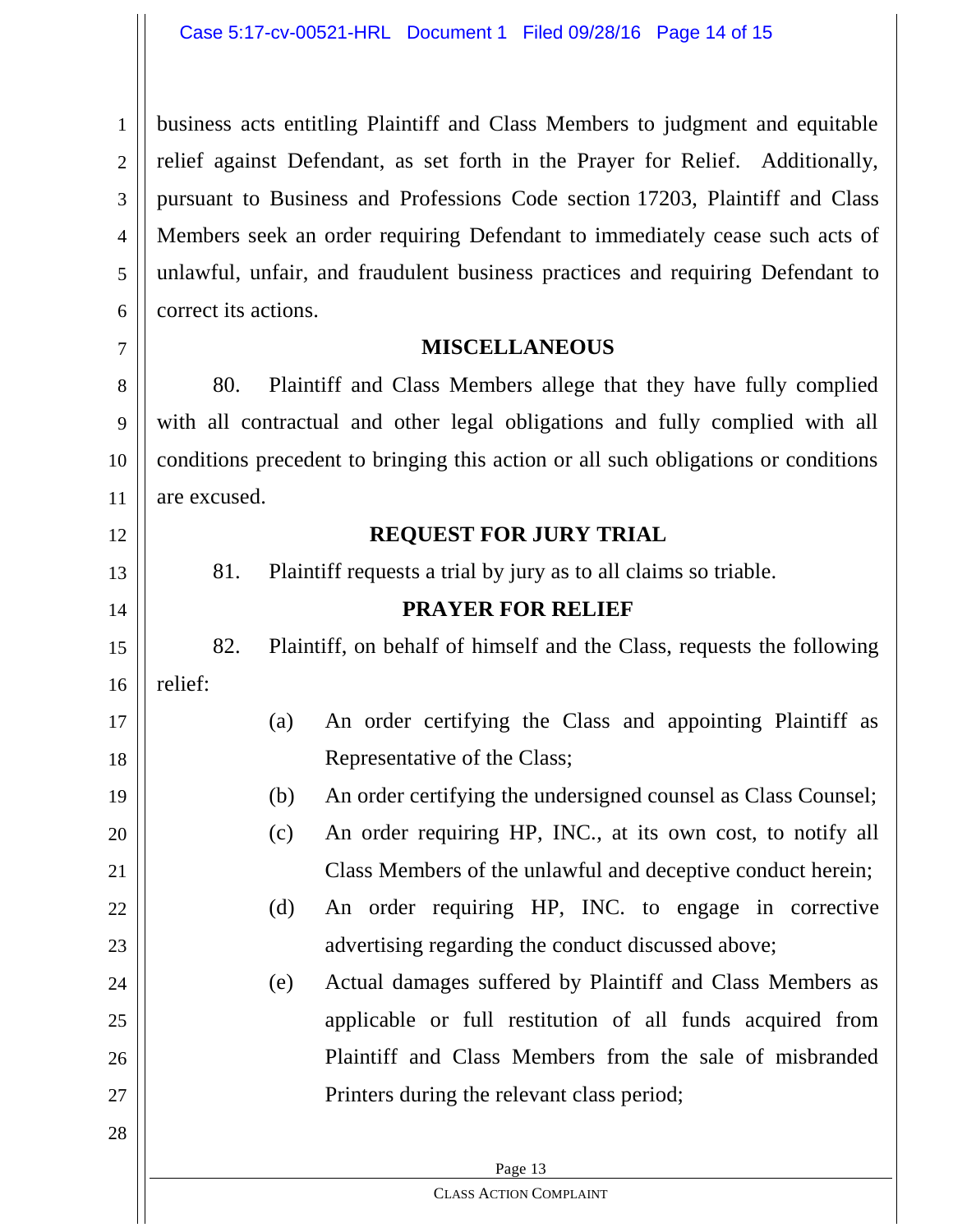1 2 3 4 5 6 business acts entitling Plaintiff and Class Members to judgment and equitable relief against Defendant, as set forth in the Prayer for Relief. Additionally, pursuant to Business and Professions Code section 17203, Plaintiff and Class Members seek an order requiring Defendant to immediately cease such acts of unlawful, unfair, and fraudulent business practices and requiring Defendant to correct its actions.

## **MISCELLANEOUS**

7

12

13

14

15

16

17

18

19

20

21

22

23

24

25

26

27

28

8 9 10 11 80. Plaintiff and Class Members allege that they have fully complied with all contractual and other legal obligations and fully complied with all conditions precedent to bringing this action or all such obligations or conditions are excused.

## **REQUEST FOR JURY TRIAL**

81. Plaintiff requests a trial by jury as to all claims so triable.

## **PRAYER FOR RELIEF**

82. Plaintiff, on behalf of himself and the Class, requests the following relief:

## (a) An order certifying the Class and appointing Plaintiff as Representative of the Class;

(b) An order certifying the undersigned counsel as Class Counsel;

# (c) An order requiring HP, INC., at its own cost, to notify all Class Members of the unlawful and deceptive conduct herein;

(d) An order requiring HP, INC. to engage in corrective advertising regarding the conduct discussed above;

# (e) Actual damages suffered by Plaintiff and Class Members as applicable or full restitution of all funds acquired from Plaintiff and Class Members from the sale of misbranded Printers during the relevant class period;

#### Page 13